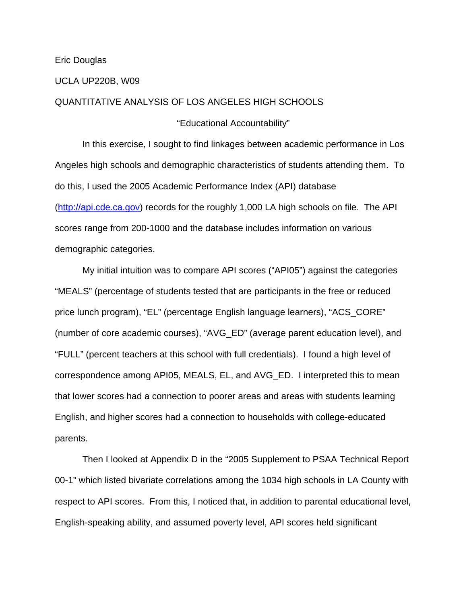### Eric Douglas

### UCLA UP220B, W09

## QUANTITATIVE ANALYSIS OF LOS ANGELES HIGH SCHOOLS

"Educational Accountability"

 In this exercise, I sought to find linkages between academic performance in Los Angeles high schools and demographic characteristics of students attending them. To do this, I used the 2005 Academic Performance Index (API) database (http://api.cde.ca.gov) records for the roughly 1,000 LA high schools on file. The API scores range from 200-1000 and the database includes information on various demographic categories.

 My initial intuition was to compare API scores ("API05") against the categories "MEALS" (percentage of students tested that are participants in the free or reduced price lunch program), "EL" (percentage English language learners), "ACS\_CORE" (number of core academic courses), "AVG\_ED" (average parent education level), and "FULL" (percent teachers at this school with full credentials). I found a high level of correspondence among API05, MEALS, EL, and AVG\_ED. I interpreted this to mean that lower scores had a connection to poorer areas and areas with students learning English, and higher scores had a connection to households with college-educated parents.

 Then I looked at Appendix D in the "2005 Supplement to PSAA Technical Report 00-1" which listed bivariate correlations among the 1034 high schools in LA County with respect to API scores. From this, I noticed that, in addition to parental educational level, English-speaking ability, and assumed poverty level, API scores held significant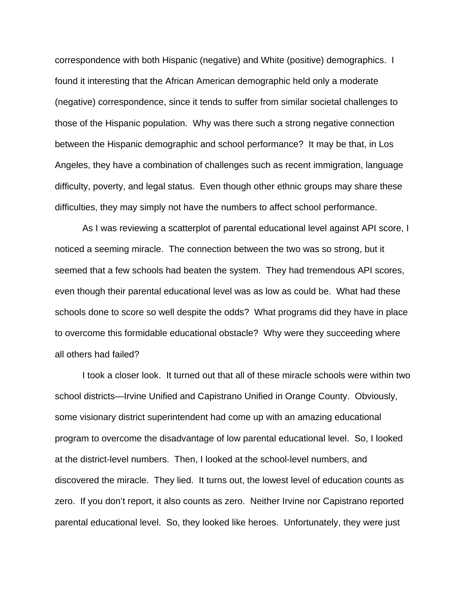correspondence with both Hispanic (negative) and White (positive) demographics. I found it interesting that the African American demographic held only a moderate (negative) correspondence, since it tends to suffer from similar societal challenges to those of the Hispanic population. Why was there such a strong negative connection between the Hispanic demographic and school performance? It may be that, in Los Angeles, they have a combination of challenges such as recent immigration, language difficulty, poverty, and legal status. Even though other ethnic groups may share these difficulties, they may simply not have the numbers to affect school performance.

 As I was reviewing a scatterplot of parental educational level against API score, I noticed a seeming miracle. The connection between the two was so strong, but it seemed that a few schools had beaten the system. They had tremendous API scores, even though their parental educational level was as low as could be. What had these schools done to score so well despite the odds? What programs did they have in place to overcome this formidable educational obstacle? Why were they succeeding where all others had failed?

 I took a closer look. It turned out that all of these miracle schools were within two school districts—Irvine Unified and Capistrano Unified in Orange County. Obviously, some visionary district superintendent had come up with an amazing educational program to overcome the disadvantage of low parental educational level. So, I looked at the district-level numbers. Then, I looked at the school-level numbers, and discovered the miracle. They lied. It turns out, the lowest level of education counts as zero. If you don't report, it also counts as zero. Neither Irvine nor Capistrano reported parental educational level. So, they looked like heroes. Unfortunately, they were just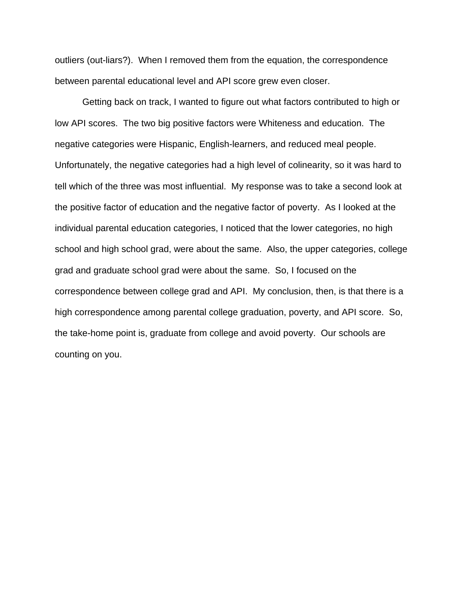outliers (out-liars?). When I removed them from the equation, the correspondence between parental educational level and API score grew even closer.

 Getting back on track, I wanted to figure out what factors contributed to high or low API scores. The two big positive factors were Whiteness and education. The negative categories were Hispanic, English-learners, and reduced meal people. Unfortunately, the negative categories had a high level of colinearity, so it was hard to tell which of the three was most influential. My response was to take a second look at the positive factor of education and the negative factor of poverty. As I looked at the individual parental education categories, I noticed that the lower categories, no high school and high school grad, were about the same. Also, the upper categories, college grad and graduate school grad were about the same. So, I focused on the correspondence between college grad and API. My conclusion, then, is that there is a high correspondence among parental college graduation, poverty, and API score. So, the take-home point is, graduate from college and avoid poverty. Our schools are counting on you.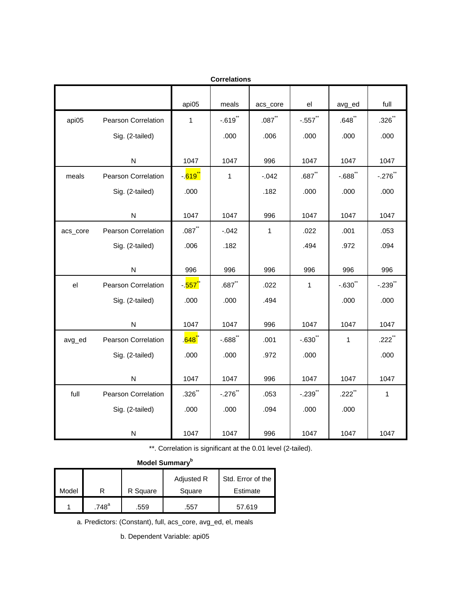| <b>Correlations</b> |                            |                                  |                       |                      |                       |                      |                      |  |
|---------------------|----------------------------|----------------------------------|-----------------------|----------------------|-----------------------|----------------------|----------------------|--|
|                     |                            | api05                            | meals                 | acs_core             | el                    | avg_ed               | full                 |  |
| api05               | Pearson Correlation        | $\mathbf{1}$                     | $-.619$ <sup>**</sup> | $.087$ <sup>**</sup> | $-.557$               | $.648$ <sup>**</sup> | $.326$ <sup>**</sup> |  |
|                     | Sig. (2-tailed)            |                                  | .000                  | .006                 | .000                  | .000                 | .000                 |  |
|                     | N                          | 1047                             | 1047                  | 996                  | 1047                  | 1047                 | 1047                 |  |
| meals               | <b>Pearson Correlation</b> | -. <mark>619<sup>**</sup></mark> | $\mathbf{1}$          | $-.042$              | $.687$ **             | $-.688$ **           | $-.276$ **           |  |
|                     | Sig. (2-tailed)            | .000                             |                       | .182                 | .000                  | .000                 | .000                 |  |
|                     | N                          | 1047                             | 1047                  | 996                  | 1047                  | 1047                 | 1047                 |  |
| acs_core            | <b>Pearson Correlation</b> | $.087$ <sup>**</sup>             | $-.042$               | $\mathbf{1}$         | .022                  | .001                 | .053                 |  |
|                     | Sig. (2-tailed)            | .006                             | .182                  |                      | .494                  | .972                 | .094                 |  |
|                     | ${\sf N}$                  | 996                              | 996                   | 996                  | 996                   | 996                  | 996                  |  |
| el                  | Pearson Correlation        | - 557 <sup>°</sup>               | $.687$ <sup>**</sup>  | .022                 | 1                     | $-.630$ **           | $-.239$ **           |  |
|                     | Sig. (2-tailed)            | .000                             | .000                  | .494                 |                       | .000                 | .000                 |  |
|                     | ${\sf N}$                  | 1047                             | 1047                  | 996                  | 1047                  | 1047                 | 1047                 |  |
| avg_ed              | Pearson Correlation        | . <mark>648</mark> .             | $-0.688$              | .001                 | $-.630"$              | $\mathbf{1}$         | $.222$ **            |  |
|                     | Sig. (2-tailed)            | .000                             | .000                  | .972                 | .000                  |                      | .000                 |  |
|                     | N                          | 1047                             | 1047                  | 996                  | 1047                  | 1047                 | 1047                 |  |
| full                | <b>Pearson Correlation</b> | $.326$ **                        | $-.276$ **            | .053                 | $-.239$ <sup>**</sup> | $.222$ <sup>**</sup> | $\mathbf{1}$         |  |
|                     | Sig. (2-tailed)            | .000                             | .000                  | .094                 | .000                  | .000                 |                      |  |
|                     | N                          | 1047                             | 1047                  | 996                  | 1047                  | 1047                 | 1047                 |  |

\*\*. Correlation is significant at the 0.01 level (2-tailed).

| Model Summary <sup>b</sup> |                     |          |                      |                               |  |  |  |
|----------------------------|---------------------|----------|----------------------|-------------------------------|--|--|--|
| Model                      |                     | R Square | Adjusted R<br>Square | Std. Error of the<br>Estimate |  |  |  |
|                            | $.748$ <sup>a</sup> | .559     | .557                 | 57.619                        |  |  |  |

a. Predictors: (Constant), full, acs\_core, avg\_ed, el, meals

b. Dependent Variable: api05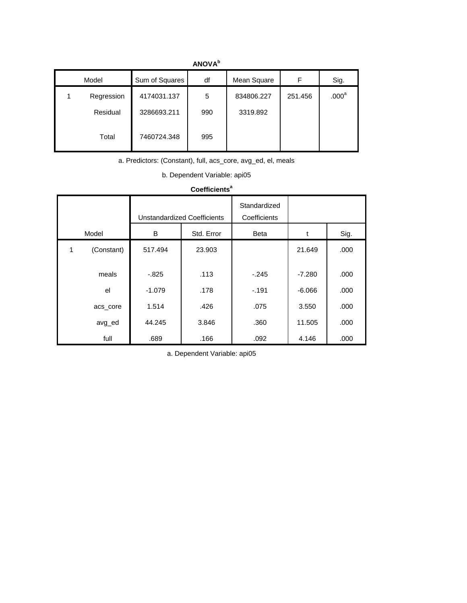|          | <b>AIVY</b> |                |     |             |         |                   |  |  |  |
|----------|-------------|----------------|-----|-------------|---------|-------------------|--|--|--|
| Model    |             | Sum of Squares | df  | Mean Square | F       | Sig.              |  |  |  |
| 1        | Regression  | 4174031.137    | 5   | 834806.227  | 251.456 | .000 <sup>a</sup> |  |  |  |
| Residual |             | 3286693.211    | 990 | 3319.892    |         |                   |  |  |  |
|          | Total       | 7460724.348    | 995 |             |         |                   |  |  |  |

**ANOVAb**

a. Predictors: (Constant), full, acs\_core, avg\_ed, el, meals

b. Dependent Variable: api05

| <b>Coefficients<sup>ª</sup></b> |            |                                    |            |                              |          |      |  |  |
|---------------------------------|------------|------------------------------------|------------|------------------------------|----------|------|--|--|
|                                 |            | <b>Unstandardized Coefficients</b> |            | Standardized<br>Coefficients |          |      |  |  |
| Model                           |            | B                                  | Std. Error | Beta                         | t        | Sig. |  |  |
| 1                               | (Constant) | 517.494                            | 23.903     |                              | 21.649   | .000 |  |  |
|                                 | meals      | $-0.825$                           | .113       | $-.245$                      | $-7.280$ | .000 |  |  |
|                                 | el         | $-1.079$                           | .178       | $-191$                       | $-6.066$ | .000 |  |  |
|                                 | acs_core   | 1.514                              | .426       | .075                         | 3.550    | .000 |  |  |
|                                 | avg_ed     | 44.245                             | 3.846      | .360                         | 11.505   | .000 |  |  |
|                                 | full       | .689                               | .166       | .092                         | 4.146    | .000 |  |  |

#### Coefficients<sup>a</sup>

a. Dependent Variable: api05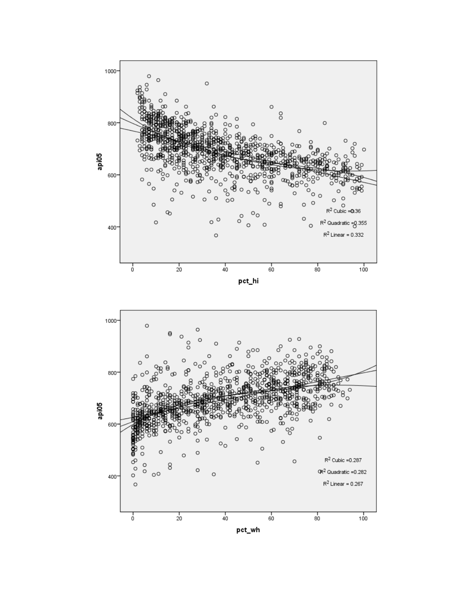

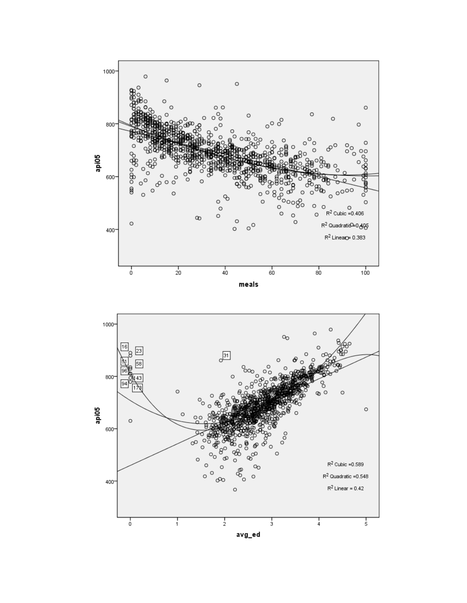

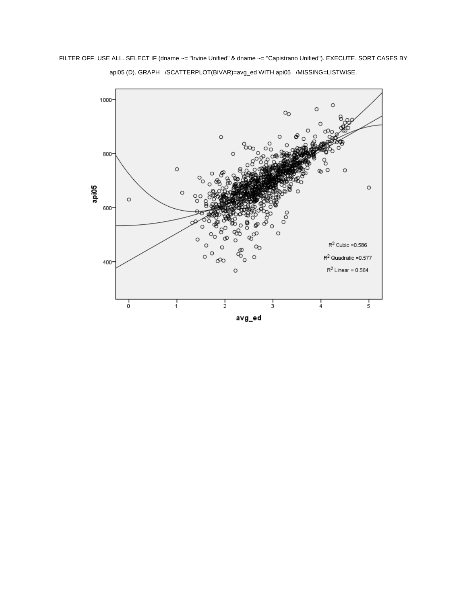FILTER OFF. USE ALL. SELECT IF (dname ~= "Irvine Unified" & dname ~= "Capistrano Unified"). EXECUTE. SORT CASES BY api05 (D). GRAPH /SCATTERPLOT(BIVAR)=avg\_ed WITH api05 /MISSING=LISTWISE.

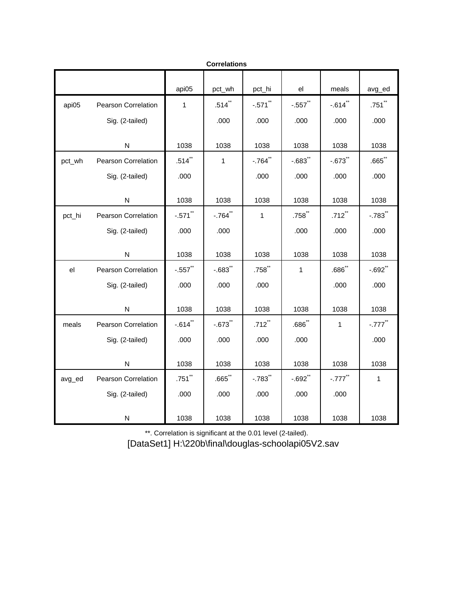|        |                            |              | <b>Correlations</b> |              |                      |                       |                       |
|--------|----------------------------|--------------|---------------------|--------------|----------------------|-----------------------|-----------------------|
|        |                            | api05        | pct_wh              | pct_hi       | el                   | meals                 | avg_ed                |
| api05  | <b>Pearson Correlation</b> | $\mathbf{1}$ | $.514$ **           | $-.571$ **   | $-.557$ **           | $-.614$ **            | .751                  |
|        | Sig. (2-tailed)            |              | .000                | .000         | .000                 | .000                  | .000                  |
|        | N                          | 1038         | 1038                | 1038         | 1038                 | 1038                  | 1038                  |
| pct_wh | <b>Pearson Correlation</b> | $.514$ **    | $\mathbf{1}$        | $-0.764$ **  | $-.683$ *            | $-.673$ **            | $.665$ **             |
|        | Sig. (2-tailed)            | .000         |                     | .000         | .000                 | .000                  | .000                  |
|        | ${\sf N}$                  | 1038         | 1038                | 1038         | 1038                 | 1038                  | 1038                  |
| pct_hi | <b>Pearson Correlation</b> | $-.571$ **   | $-0.764$ **         | $\mathbf{1}$ | $.758$ **            | $.712$ <sup>**</sup>  | $-.783$ <sup>**</sup> |
|        | Sig. (2-tailed)            | .000         | .000                |              | .000                 | .000                  | .000                  |
|        | ${\sf N}$                  | 1038         | 1038                | 1038         | 1038                 | 1038                  | 1038                  |
| el     | <b>Pearson Correlation</b> | $-0.557$     | $-0.683$ **         | $.758$ **    | $\mathbf{1}$         | $.686$ <sup>**</sup>  | $-.692$ **            |
|        | Sig. (2-tailed)            | .000         | .000                | .000         |                      | .000                  | .000                  |
|        | N                          | 1038         | 1038                | 1038         | 1038                 | 1038                  | 1038                  |
| meals  | Pearson Correlation        | $-0.614$     | $-0.673$            | $.712$ **    | $.686$ <sup>**</sup> | $\mathbf{1}$          | $-.777$ <sup>**</sup> |
|        | Sig. (2-tailed)            | .000         | .000                | .000         | .000                 |                       | .000                  |
|        | N                          | 1038         | 1038                | 1038         | 1038                 | 1038                  | 1038                  |
| avg_ed | <b>Pearson Correlation</b> | $.751$ **    | $.665$ **           | $-0.783$ **  | $-.692$ **           | $-.777$ <sup>**</sup> | $\mathbf{1}$          |
|        | Sig. (2-tailed)            | .000         | .000                | .000         | .000                 | .000                  |                       |
|        | N                          | 1038         | 1038                | 1038         | 1038                 | 1038                  | 1038                  |

\*\*. Correlation is significant at the 0.01 level (2-tailed).

[DataSet1] H:\220b\final\douglas-schoolapi05V2.sav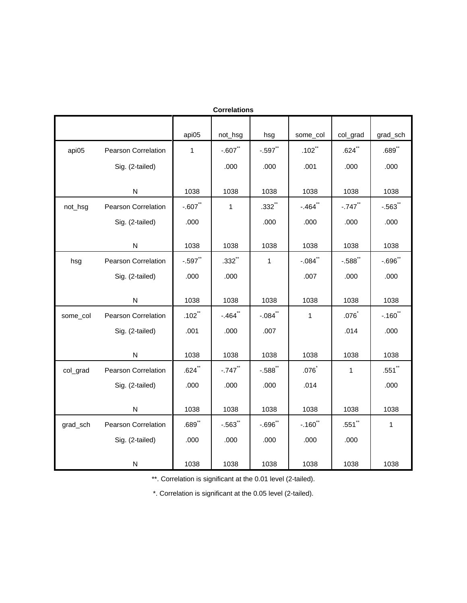| <b>Correlations</b> |                            |                      |                       |                      |              |           |                       |  |  |
|---------------------|----------------------------|----------------------|-----------------------|----------------------|--------------|-----------|-----------------------|--|--|
|                     |                            | api05                | not_hsg               | hsg                  | some_col     | col_grad  | grad_sch              |  |  |
| api05               | Pearson Correlation        | $\mathbf{1}$         | $-0.607$              | $-.597$              | $.102$ **    | $.624$ ** | $.689$ <sup>**</sup>  |  |  |
|                     | Sig. (2-tailed)            |                      | .000                  | .000                 | .001         | .000      | .000                  |  |  |
|                     | N                          | 1038                 | 1038                  | 1038                 | 1038         | 1038      | 1038                  |  |  |
| not_hsg             | <b>Pearson Correlation</b> | $-.607$ **           | $\mathbf{1}$          | $.332$ <sup>**</sup> | $-.464$ **   | $-.747$   | $-.563$ **            |  |  |
|                     | Sig. (2-tailed)            | .000                 |                       | .000                 | .000         | .000      | .000                  |  |  |
|                     | ${\sf N}$                  | 1038                 | 1038                  | 1038                 | 1038         | 1038      | 1038                  |  |  |
| hsg                 | Pearson Correlation        | $-0.597$             | $.332$ **             | $\mathbf{1}$         | $-.084$ **   | $-0.588$  | $-0.696$              |  |  |
|                     | Sig. (2-tailed)            | .000                 | .000                  |                      | .007         | .000      | .000                  |  |  |
|                     | N                          | 1038                 | 1038                  | 1038                 | 1038         | 1038      | 1038                  |  |  |
| some_col            | Pearson Correlation        | $.102$ <sup>**</sup> | $-.464"$              | $-.084$ **           | $\mathbf{1}$ | .076      | $-.160$ <sup>**</sup> |  |  |
|                     | Sig. (2-tailed)            | .001                 | .000                  | .007                 |              | .014      | .000                  |  |  |
|                     | N                          | 1038                 | 1038                  | 1038                 | 1038         | 1038      | 1038                  |  |  |
| col_grad            | <b>Pearson Correlation</b> | $.624$ <sup>**</sup> | $-.747$ <sup>**</sup> | $-.588$ **           | .076         | 1         | $.551$ **             |  |  |
|                     | Sig. (2-tailed)            | .000                 | .000                  | .000                 | .014         |           | .000                  |  |  |
|                     | N                          | 1038                 | 1038                  | 1038                 | 1038         | 1038      | 1038                  |  |  |
| grad_sch            | <b>Pearson Correlation</b> | $.689$ <sup>**</sup> | $-.563"$              | $-0.696$             | $-.160"$     | $.551$ ** | $\mathbf 1$           |  |  |
|                     | Sig. (2-tailed)            | .000                 | .000                  | .000                 | .000         | .000      |                       |  |  |
|                     | N                          | 1038                 | 1038                  | 1038                 | 1038         | 1038      | 1038                  |  |  |

\*\*. Correlation is significant at the 0.01 level (2-tailed).

\*. Correlation is significant at the 0.05 level (2-tailed).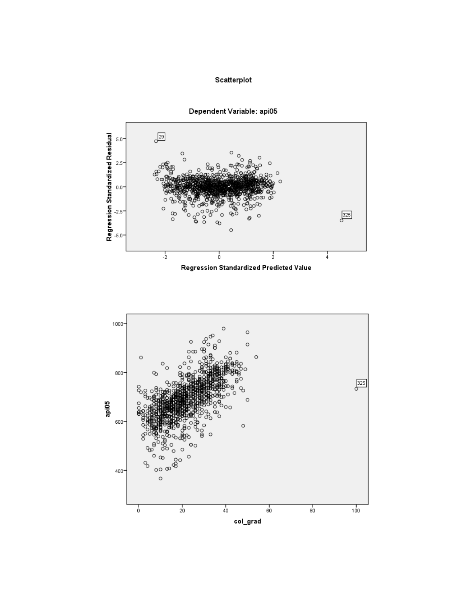# Scatterplot



Dependent Variable: api05